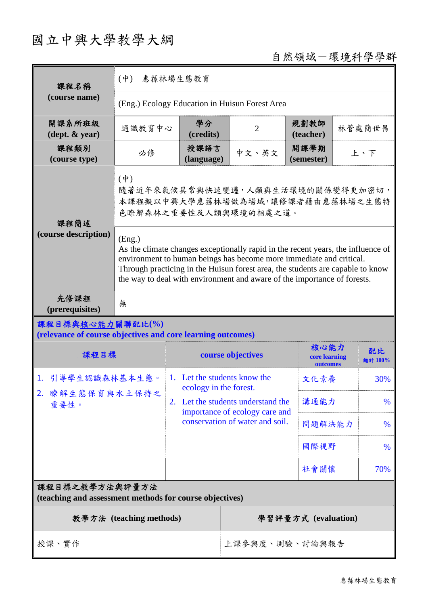## 國立中興大學教學大綱

## 自然領域-環境科學學群

| 課程名稱                                                                            | (中) 惠蓀林場生態教育                                                                                                                                                                                                                                                                                                                    |                        |                                                                   |                                   |        |               |
|---------------------------------------------------------------------------------|---------------------------------------------------------------------------------------------------------------------------------------------------------------------------------------------------------------------------------------------------------------------------------------------------------------------------------|------------------------|-------------------------------------------------------------------|-----------------------------------|--------|---------------|
| (course name)                                                                   | (Eng.) Ecology Education in Huisun Forest Area                                                                                                                                                                                                                                                                                  |                        |                                                                   |                                   |        |               |
| 開課系所班級<br>$(\text{dept.} \& \text{ year})$                                      | 通識教育中心                                                                                                                                                                                                                                                                                                                          | 學分<br>(credits)        | $\overline{2}$                                                    | 規劃教師<br>(teacher)                 | 林管處簡世昌 |               |
| 課程類別<br>(course type)                                                           | 必修                                                                                                                                                                                                                                                                                                                              | 授課語言<br>(language)     | 中文、英文                                                             | 開課學期<br>(semester)                | 上、下    |               |
| 課程簡述<br>(course description)                                                    | $(\dagger)$<br>隨著近年來氣候異常與快速變遷,人類與生活環境的關係變得更加密切,<br>本課程擬以中興大學惠蓀林場做為場域,讓修課者藉由惠蓀林場之生態特<br>色瞭解森林之重要性及人類與環境的相處之道。                                                                                                                                                                                                                    |                        |                                                                   |                                   |        |               |
|                                                                                 | (Eng.)<br>As the climate changes exceptionally rapid in the recent years, the influence of<br>environment to human beings has become more immediate and critical.<br>Through practicing in the Huisun forest area, the students are capable to know<br>the way to deal with environment and aware of the importance of forests. |                        |                                                                   |                                   |        |               |
| 先修課程<br>(prerequisites)                                                         | 無                                                                                                                                                                                                                                                                                                                               |                        |                                                                   |                                   |        |               |
| 課程目標與核心能力關聯配比(%)<br>(relevance of course objectives and core learning outcomes) |                                                                                                                                                                                                                                                                                                                                 |                        |                                                                   |                                   |        |               |
| 課程目標                                                                            |                                                                                                                                                                                                                                                                                                                                 |                        |                                                                   |                                   |        |               |
|                                                                                 |                                                                                                                                                                                                                                                                                                                                 |                        | course objectives                                                 | 核心能力<br>core learning<br>outcomes |        | 配比<br>總計 100% |
| 引導學生認識森林基本生態。<br>1.                                                             |                                                                                                                                                                                                                                                                                                                                 |                        | 1. Let the students know the                                      | 文化素養                              |        | 30%           |
| 瞭解生態保育與水土保持之<br>2.<br>重要性。                                                      |                                                                                                                                                                                                                                                                                                                                 | ecology in the forest. | 2. Let the students understand the                                | 溝通能力                              |        | $\%$          |
|                                                                                 |                                                                                                                                                                                                                                                                                                                                 |                        | importance of ecology care and<br>conservation of water and soil. | 問題解決能力                            |        | $\%$          |
|                                                                                 |                                                                                                                                                                                                                                                                                                                                 |                        |                                                                   | 國際視野                              |        | $\%$          |
|                                                                                 |                                                                                                                                                                                                                                                                                                                                 |                        |                                                                   | 社會關懷                              |        | 70%           |
| 課程目標之教學方法與評量方法<br>(teaching and assessment methods for course objectives)       |                                                                                                                                                                                                                                                                                                                                 |                        |                                                                   |                                   |        |               |
|                                                                                 | 教學方法 (teaching methods)                                                                                                                                                                                                                                                                                                         |                        |                                                                   | 學習評量方式 (evaluation)               |        |               |